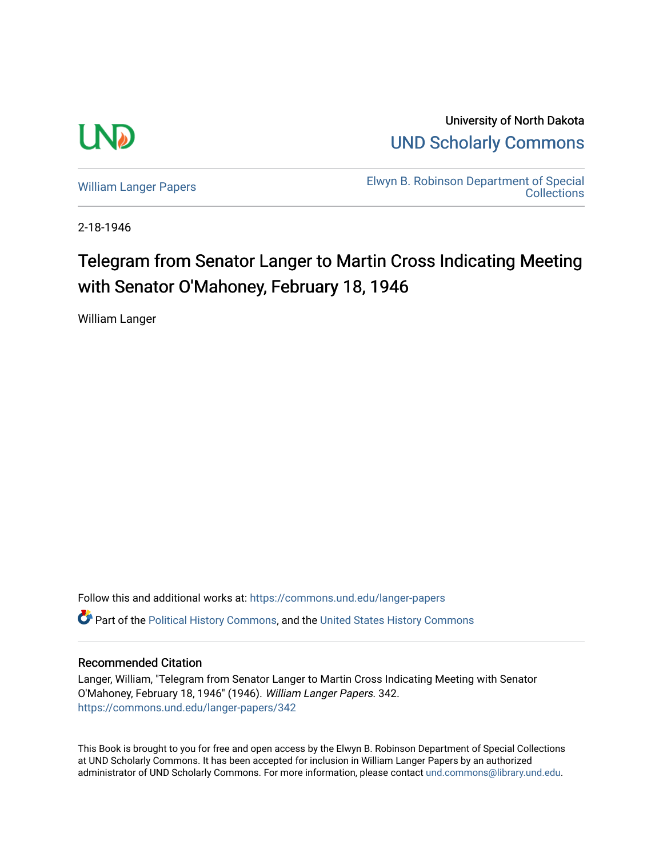

University of North Dakota [UND Scholarly Commons](https://commons.und.edu/) 

[William Langer Papers](https://commons.und.edu/langer-papers) **Elwyn B. Robinson Department of Special** [Collections](https://commons.und.edu/archives) 

2-18-1946

## Telegram from Senator Langer to Martin Cross Indicating Meeting with Senator O'Mahoney, February 18, 1946

William Langer

Follow this and additional works at: [https://commons.und.edu/langer-papers](https://commons.und.edu/langer-papers?utm_source=commons.und.edu%2Flanger-papers%2F342&utm_medium=PDF&utm_campaign=PDFCoverPages)  **C** Part of the [Political History Commons,](https://network.bepress.com/hgg/discipline/505?utm_source=commons.und.edu%2Flanger-papers%2F342&utm_medium=PDF&utm_campaign=PDFCoverPages) and the [United States History Commons](https://network.bepress.com/hgg/discipline/495?utm_source=commons.und.edu%2Flanger-papers%2F342&utm_medium=PDF&utm_campaign=PDFCoverPages)

## Recommended Citation

Langer, William, "Telegram from Senator Langer to Martin Cross Indicating Meeting with Senator O'Mahoney, February 18, 1946" (1946). William Langer Papers. 342. [https://commons.und.edu/langer-papers/342](https://commons.und.edu/langer-papers/342?utm_source=commons.und.edu%2Flanger-papers%2F342&utm_medium=PDF&utm_campaign=PDFCoverPages) 

This Book is brought to you for free and open access by the Elwyn B. Robinson Department of Special Collections at UND Scholarly Commons. It has been accepted for inclusion in William Langer Papers by an authorized administrator of UND Scholarly Commons. For more information, please contact [und.commons@library.und.edu.](mailto:und.commons@library.und.edu)